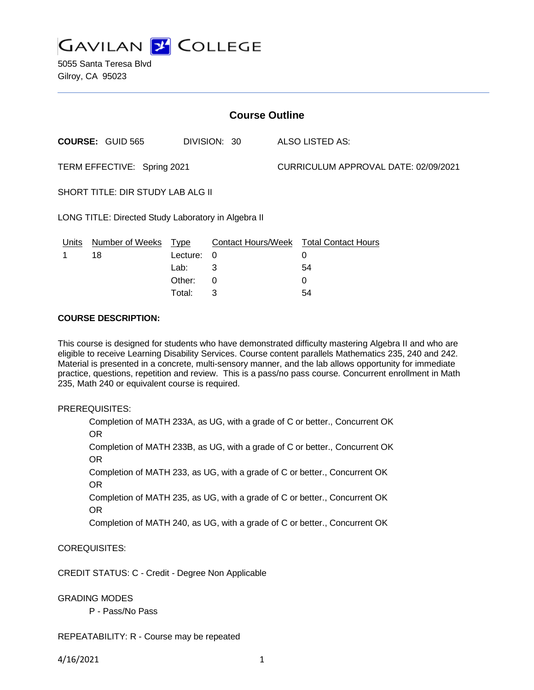

5055 Santa Teresa Blvd Gilroy, CA 95023

| <b>Course Outline</b>                               |                         |             |                           |                                      |                            |
|-----------------------------------------------------|-------------------------|-------------|---------------------------|--------------------------------------|----------------------------|
|                                                     | <b>COURSE: GUID 565</b> |             | DIVISION: 30              |                                      | <b>ALSO LISTED AS:</b>     |
| TERM EFFECTIVE: Spring 2021                         |                         |             |                           | CURRICULUM APPROVAL DATE: 02/09/2021 |                            |
| <b>SHORT TITLE: DIR STUDY LAB ALG II</b>            |                         |             |                           |                                      |                            |
| LONG TITLE: Directed Study Laboratory in Algebra II |                         |             |                           |                                      |                            |
| Units                                               | <b>Number of Weeks</b>  | <u>Type</u> | <b>Contact Hours/Week</b> |                                      | <b>Total Contact Hours</b> |
|                                                     | 18                      | Lecture:    | 0                         |                                      | 0                          |
|                                                     |                         | Lab:        | 3                         |                                      | 54                         |
|                                                     |                         | Other:      | 0                         |                                      | $\Omega$                   |
|                                                     |                         | Total:      | 3                         |                                      | 54                         |

### **COURSE DESCRIPTION:**

This course is designed for students who have demonstrated difficulty mastering Algebra II and who are eligible to receive Learning Disability Services. Course content parallels Mathematics 235, 240 and 242. Material is presented in a concrete, multi-sensory manner, and the lab allows opportunity for immediate practice, questions, repetition and review. This is a pass/no pass course. Concurrent enrollment in Math 235, Math 240 or equivalent course is required.

#### PREREQUISITES:

Completion of MATH 233A, as UG, with a grade of C or better., Concurrent OK OR

Completion of MATH 233B, as UG, with a grade of C or better., Concurrent OK OR

Completion of MATH 233, as UG, with a grade of C or better., Concurrent OK OR

Completion of MATH 235, as UG, with a grade of C or better., Concurrent OK OR

Completion of MATH 240, as UG, with a grade of C or better., Concurrent OK

COREQUISITES:

CREDIT STATUS: C - Credit - Degree Non Applicable

## GRADING MODES

P - Pass/No Pass

REPEATABILITY: R - Course may be repeated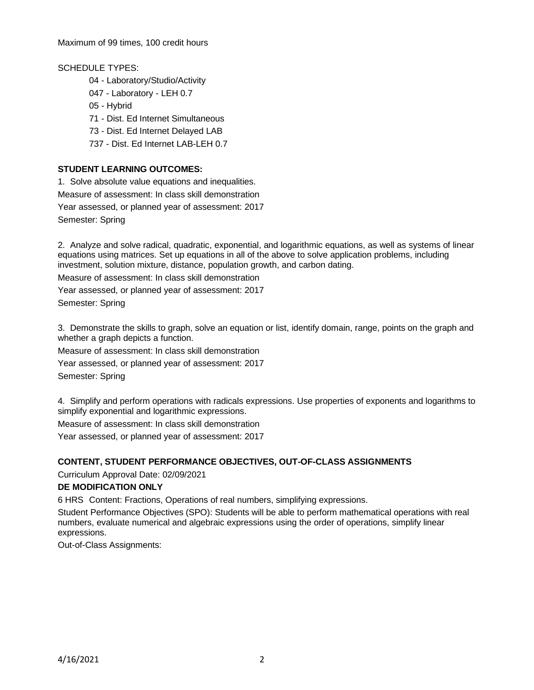Maximum of 99 times, 100 credit hours

SCHEDULE TYPES:

- 04 Laboratory/Studio/Activity
- 047 Laboratory LEH 0.7
- 05 Hybrid
- 71 Dist. Ed Internet Simultaneous
- 73 Dist. Ed Internet Delayed LAB
- 737 Dist. Ed Internet LAB-LEH 0.7

# **STUDENT LEARNING OUTCOMES:**

1. Solve absolute value equations and inequalities. Measure of assessment: In class skill demonstration Year assessed, or planned year of assessment: 2017 Semester: Spring

2. Analyze and solve radical, quadratic, exponential, and logarithmic equations, as well as systems of linear equations using matrices. Set up equations in all of the above to solve application problems, including investment, solution mixture, distance, population growth, and carbon dating.

Measure of assessment: In class skill demonstration

Year assessed, or planned year of assessment: 2017 Semester: Spring

3. Demonstrate the skills to graph, solve an equation or list, identify domain, range, points on the graph and whether a graph depicts a function.

Measure of assessment: In class skill demonstration

Year assessed, or planned year of assessment: 2017

Semester: Spring

4. Simplify and perform operations with radicals expressions. Use properties of exponents and logarithms to simplify exponential and logarithmic expressions.

Measure of assessment: In class skill demonstration

Year assessed, or planned year of assessment: 2017

# **CONTENT, STUDENT PERFORMANCE OBJECTIVES, OUT-OF-CLASS ASSIGNMENTS**

Curriculum Approval Date: 02/09/2021

# **DE MODIFICATION ONLY**

6 HRS Content: Fractions, Operations of real numbers, simplifying expressions.

Student Performance Objectives (SPO): Students will be able to perform mathematical operations with real numbers, evaluate numerical and algebraic expressions using the order of operations, simplify linear expressions.

Out-of-Class Assignments: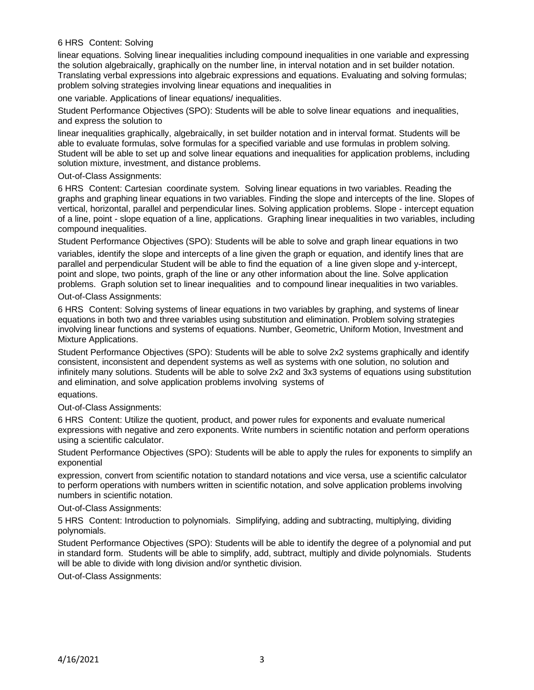### 6 HRS Content: Solving

linear equations. Solving linear inequalities including compound inequalities in one variable and expressing the solution algebraically, graphically on the number line, in interval notation and in set builder notation. Translating verbal expressions into algebraic expressions and equations. Evaluating and solving formulas; problem solving strategies involving linear equations and inequalities in

one variable. Applications of linear equations/ inequalities.

Student Performance Objectives (SPO): Students will be able to solve linear equations and inequalities, and express the solution to

linear inequalities graphically, algebraically, in set builder notation and in interval format. Students will be able to evaluate formulas, solve formulas for a specified variable and use formulas in problem solving. Student will be able to set up and solve linear equations and inequalities for application problems, including solution mixture, investment, and distance problems.

Out-of-Class Assignments:

6 HRS Content: Cartesian coordinate system. Solving linear equations in two variables. Reading the graphs and graphing linear equations in two variables. Finding the slope and intercepts of the line. Slopes of vertical, horizontal, parallel and perpendicular lines. Solving application problems. Slope - intercept equation of a line, point - slope equation of a line, applications. Graphing linear inequalities in two variables, including compound inequalities.

Student Performance Objectives (SPO): Students will be able to solve and graph linear equations in two

variables, identify the slope and intercepts of a line given the graph or equation, and identify lines that are parallel and perpendicular Student will be able to find the equation of a line given slope and y-intercept, point and slope, two points, graph of the line or any other information about the line. Solve application problems. Graph solution set to linear inequalities and to compound linear inequalities in two variables.

Out-of-Class Assignments:

6 HRS Content: Solving systems of linear equations in two variables by graphing, and systems of linear equations in both two and three variables using substitution and elimination. Problem solving strategies involving linear functions and systems of equations. Number, Geometric, Uniform Motion, Investment and Mixture Applications.

Student Performance Objectives (SPO): Students will be able to solve 2x2 systems graphically and identify consistent, inconsistent and dependent systems as well as systems with one solution, no solution and infinitely many solutions. Students will be able to solve 2x2 and 3x3 systems of equations using substitution and elimination, and solve application problems involving systems of

equations.

Out-of-Class Assignments:

6 HRS Content: Utilize the quotient, product, and power rules for exponents and evaluate numerical expressions with negative and zero exponents. Write numbers in scientific notation and perform operations using a scientific calculator.

Student Performance Objectives (SPO): Students will be able to apply the rules for exponents to simplify an exponential

expression, convert from scientific notation to standard notations and vice versa, use a scientific calculator to perform operations with numbers written in scientific notation, and solve application problems involving numbers in scientific notation.

Out-of-Class Assignments:

5 HRS Content: Introduction to polynomials. Simplifying, adding and subtracting, multiplying, dividing polynomials.

Student Performance Objectives (SPO): Students will be able to identify the degree of a polynomial and put in standard form. Students will be able to simplify, add, subtract, multiply and divide polynomials. Students will be able to divide with long division and/or synthetic division.

Out-of-Class Assignments: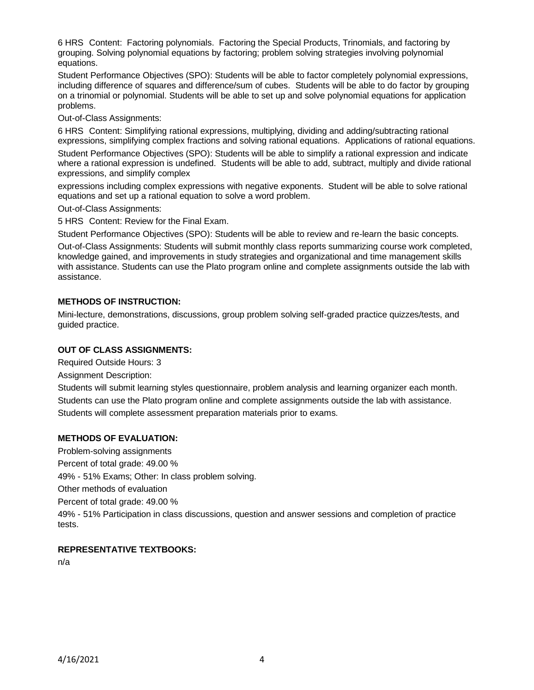6 HRS Content: Factoring polynomials. Factoring the Special Products, Trinomials, and factoring by grouping. Solving polynomial equations by factoring; problem solving strategies involving polynomial equations.

Student Performance Objectives (SPO): Students will be able to factor completely polynomial expressions, including difference of squares and difference/sum of cubes. Students will be able to do factor by grouping on a trinomial or polynomial. Students will be able to set up and solve polynomial equations for application problems.

Out-of-Class Assignments:

6 HRS Content: Simplifying rational expressions, multiplying, dividing and adding/subtracting rational expressions, simplifying complex fractions and solving rational equations. Applications of rational equations. Student Performance Objectives (SPO): Students will be able to simplify a rational expression and indicate where a rational expression is undefined. Students will be able to add, subtract, multiply and divide rational expressions, and simplify complex

expressions including complex expressions with negative exponents. Student will be able to solve rational equations and set up a rational equation to solve a word problem.

Out-of-Class Assignments:

5 HRS Content: Review for the Final Exam.

Student Performance Objectives (SPO): Students will be able to review and re-learn the basic concepts.

Out-of-Class Assignments: Students will submit monthly class reports summarizing course work completed, knowledge gained, and improvements in study strategies and organizational and time management skills with assistance. Students can use the Plato program online and complete assignments outside the lab with assistance.

## **METHODS OF INSTRUCTION:**

Mini-lecture, demonstrations, discussions, group problem solving self-graded practice quizzes/tests, and guided practice.

#### **OUT OF CLASS ASSIGNMENTS:**

Required Outside Hours: 3

Assignment Description:

Students will submit learning styles questionnaire, problem analysis and learning organizer each month. Students can use the Plato program online and complete assignments outside the lab with assistance. Students will complete assessment preparation materials prior to exams.

#### **METHODS OF EVALUATION:**

Problem-solving assignments Percent of total grade: 49.00 % 49% - 51% Exams; Other: In class problem solving. Other methods of evaluation Percent of total grade: 49.00 % 49% - 51% Participation in class discussions, question and answer sessions and completion of practice tests.

## **REPRESENTATIVE TEXTBOOKS:**

n/a